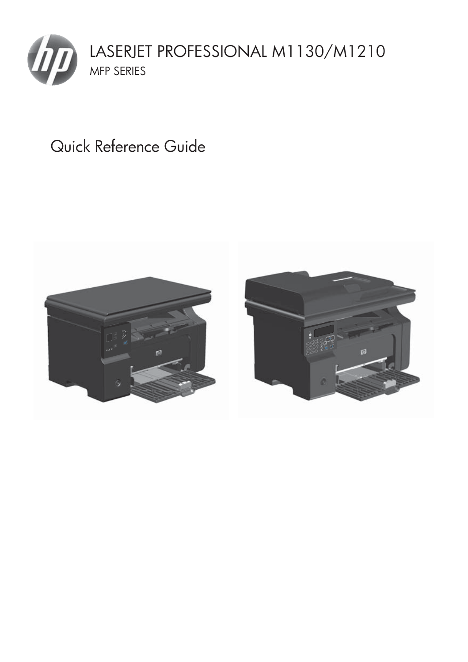

# Quick Reference Guide

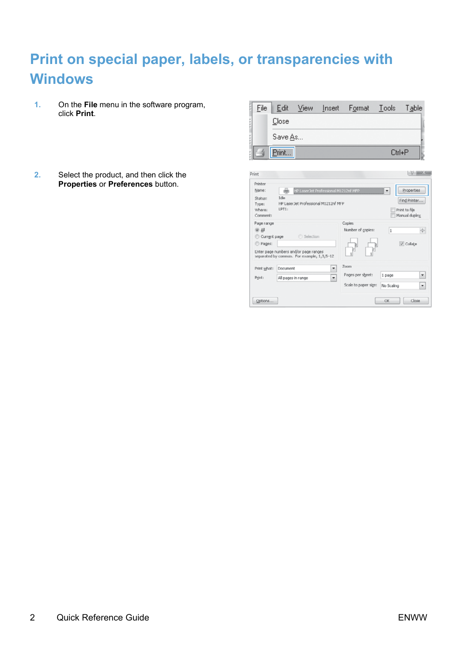## **Print on special paper, labels, or transparencies with Windows**

- **1.** On the **File** menu in the software program, click **Print**.
- **2.** Select the product, and then click the **Properties** or **Preferences** button.

| Eile | Edit    | View | Insert | Format | _ __Tools | Table |
|------|---------|------|--------|--------|-----------|-------|
|      | Close   |      |        |        |           |       |
|      | Save As |      |        |        |           |       |
| B    | Print.  |      |        |        | Ctrl+P    |       |
|      |         |      |        |        |           |       |

| Idle<br>Status:<br>Find Printer<br>HP LaserJet Professional M1212nf MFP<br>Type:<br>LPT1:<br>Where:<br>Print to file<br>Manual duplex<br>Comments<br>Copies<br>Page range<br>Number of copies:<br>(a) All<br>n<br>Selection<br>C Current page<br>V Collabe<br>Pages:<br>в<br>k<br>þ<br>Enter page numbers and/or page ranges<br>separated by commas. For example, 1,3,5-12<br>Zoom<br>۳<br>Print what:<br>Document<br>Pages per sheet:<br>1 page<br>٠<br>Print:<br>All pages in range<br>Scale to paper sige:<br>No Scaling | Printer<br>Name: | HP Laser Jet Professional M1212nf MEP | Properties<br>۳         |
|-----------------------------------------------------------------------------------------------------------------------------------------------------------------------------------------------------------------------------------------------------------------------------------------------------------------------------------------------------------------------------------------------------------------------------------------------------------------------------------------------------------------------------|------------------|---------------------------------------|-------------------------|
|                                                                                                                                                                                                                                                                                                                                                                                                                                                                                                                             |                  |                                       |                         |
|                                                                                                                                                                                                                                                                                                                                                                                                                                                                                                                             |                  |                                       | 뉘                       |
|                                                                                                                                                                                                                                                                                                                                                                                                                                                                                                                             |                  |                                       | $\pmb{\mathrm{v}}$<br>× |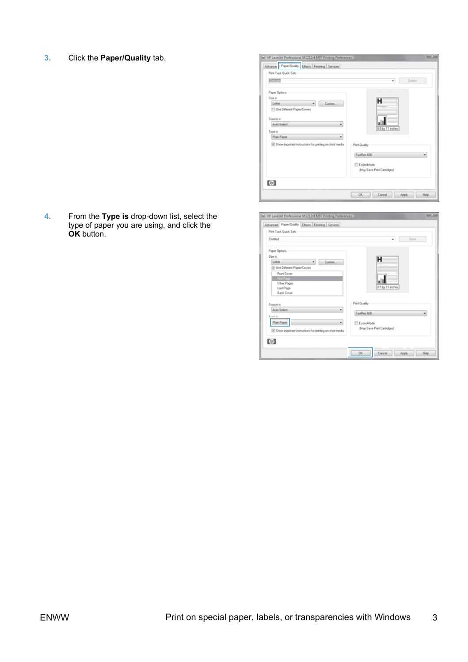**3.** Click the **Paper/Quality** tab.

| Advance: Paper/Quality Effects Finishing Services         |                                          |
|-----------------------------------------------------------|------------------------------------------|
| Print Tack Quick Sets                                     |                                          |
| RTITZ                                                     | Delete<br>٠                              |
| Paper Options                                             |                                          |
| Size in:                                                  | н                                        |
| Letter<br>Custom                                          |                                          |
| Use Different Paper/Covers                                |                                          |
| Source in                                                 |                                          |
| Auto Select<br>٠                                          |                                          |
| Type in:                                                  | 8.5 by 11 inches                         |
| Plain Paper<br>٠                                          |                                          |
| V Show important instructions for printing on short media | Print Quality                            |
|                                                           |                                          |
|                                                           | FaufRes 600<br>٠                         |
|                                                           |                                          |
|                                                           | EconoMode<br>(May Save Print Cartridges) |
|                                                           |                                          |
|                                                           |                                          |
| $\omega$                                                  |                                          |

**4.** From the **Type is** drop-down list, select the type of paper you are using, and click the **OK** button.

| Untified                                                    | Save<br>٠                  |
|-------------------------------------------------------------|----------------------------|
| Paper Options                                               |                            |
| Size in:<br>Letter                                          | н                          |
| Custom<br>V Use Different Paper/Covers                      |                            |
| <b>Fannit Cover</b>                                         |                            |
| Fest Page                                                   |                            |
| <b>Other Pages</b>                                          |                            |
| Last Page                                                   | 8.5 by 11 inches           |
| <b>Back Cover</b>                                           |                            |
| Source in                                                   | Print Quality              |
| Auto Select                                                 | ۰                          |
| Toron in                                                    | Fauffies 600               |
| Plain Paper                                                 | ٠<br>EconoMode             |
|                                                             | May Save Print Cartridges) |
| [7] Show important instructions for printing on short media |                            |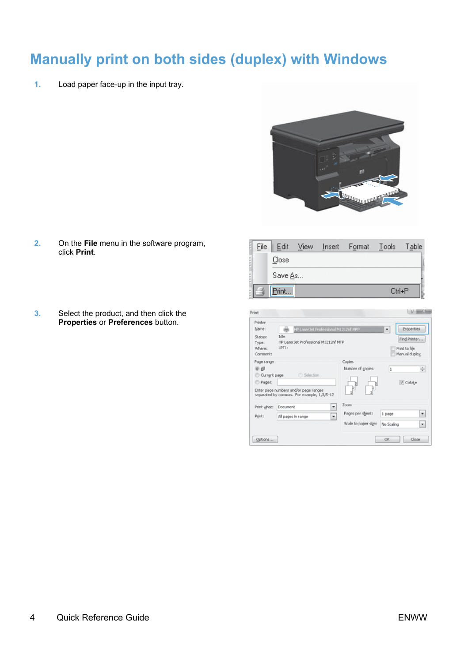### **Manually print on both sides (duplex) with Windows**

**1.** Load paper face-up in the input tray.



- **2.** On the **File** menu in the software program, click **Print**.
- **3.** Select the product, and then click the **Properties** or **Preferences** button.

| File | Edit    | <b>View</b> | Insert | Format |           | Table |
|------|---------|-------------|--------|--------|-----------|-------|
|      | Close   |             |        |        |           |       |
|      | Save As |             |        |        |           |       |
| e    | Print   |             |        |        | $C$ trl+P |       |

| Printer<br>Name:                                  | HP Laser Jet Professional M1212nf MEP                                                            |                                                  | Properties<br>٠                                 |
|---------------------------------------------------|--------------------------------------------------------------------------------------------------|--------------------------------------------------|-------------------------------------------------|
| Status:<br>Type:<br>Where:<br>Comments            | <b>Tribe</b><br>HP Laser Jet Professional M1212nf MFP<br>LPT1:                                   |                                                  | Find Printer.<br>Print to file<br>Manual duplex |
| Page range<br>(a) All<br>C Current page<br>Pages: | Selection<br>Enter page numbers and/or page ranges<br>separated by commas. For example, 1,3,5-12 | Copies<br>Number of copies:<br>þ                 | 뉘<br>Ŀ<br>V Collabe                             |
| Print what:<br>Print:                             | ۳<br>Document<br>÷<br>All pages in range                                                         | Zoom<br>Pages per sheet:<br>Scale to paper size: | 1 page<br>۰<br>No Scaling<br>۰                  |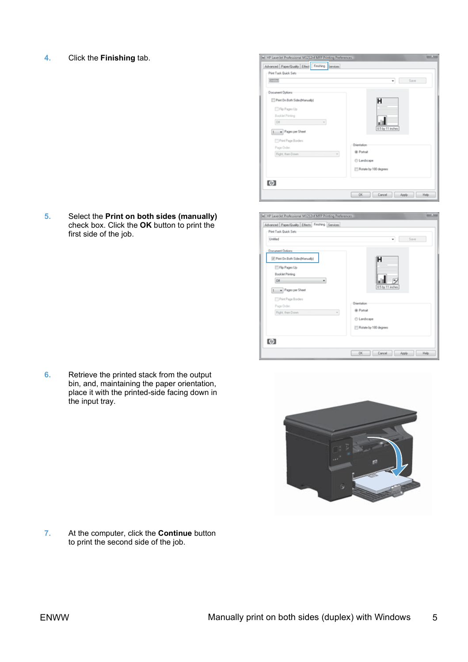**4.** Click the **Finishing** tab.

**5.** Select the **Print on both sides (manually)** check box. Click the **OK** button to print the first side of the job.

**6.** Retrieve the printed stack from the output bin, and, maintaining the paper orientation, place it with the printed-side facing down in the input tray.

**7.** At the computer, click the **Continue** button to print the second side of the job.







ENWW Manually print on both sides (duplex) with Windows 5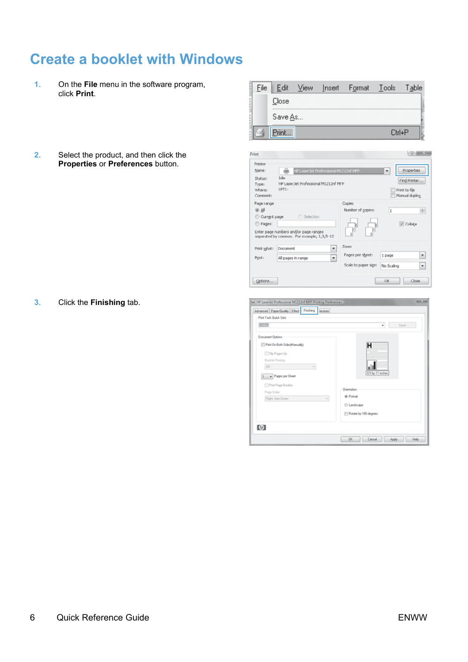### **Create a booklet with Windows**

- **1.** On the **File** menu in the software program, click **Print**.
- **2.** Select the product, and then click the **Properties** or **Preferences** button.

**3.** Click the **Finishing** tab.

| File                                                       | Edit                                                                                                                                   | View             | Insert                                                                        | Format                                                            | Tools                | Table                                                        |
|------------------------------------------------------------|----------------------------------------------------------------------------------------------------------------------------------------|------------------|-------------------------------------------------------------------------------|-------------------------------------------------------------------|----------------------|--------------------------------------------------------------|
|                                                            | Close                                                                                                                                  |                  |                                                                               |                                                                   |                      |                                                              |
|                                                            | Save As                                                                                                                                |                  |                                                                               |                                                                   |                      |                                                              |
|                                                            | Print                                                                                                                                  |                  |                                                                               |                                                                   | Ctrl+P               |                                                              |
| rint                                                       |                                                                                                                                        |                  |                                                                               |                                                                   |                      | $8 - 25$                                                     |
| Printer<br>Name:<br>Status:<br>Type:<br>Where:<br>Comment: | 曲<br>Idle<br>LPT1:                                                                                                                     |                  | HP Laser Jet Professional M1212nf MFP<br>HP LaserJet Professional M1212nf MFP |                                                                   | ٠                    | Properties<br>Find Printer<br>Print to file<br>Manual duplex |
| Page range<br>@ All<br>C Current page<br>Pages:            | Enter page numbers and/or page ranges<br>separated by commas. For example, 1,3,5-12                                                    | <b>Selection</b> |                                                                               | Copies<br>Number of copies:                                       | l.                   | ÷<br>V Colate                                                |
| Print what:<br>Print:                                      | Document<br>All pages in range                                                                                                         |                  | ٠<br>٠                                                                        | Zoom<br>Pages per sheet:<br>Scale to paper sige:                  | 1 page<br>No Scaling | ۰<br>۰                                                       |
| Options                                                    |                                                                                                                                        |                  |                                                                               |                                                                   | OK                   | Close                                                        |
| R7777                                                      | HP LaserJet Professional M1212rd MFP Printing Preferences<br>Advanced Paper/Quality Effect Finishing Services<br>Print Tack Quick Sets |                  |                                                                               |                                                                   | ٠                    | $-25$<br>Save                                                |
| Document Options<br>los                                    | Print On Both Sides(Manually)<br>Fip Pages Up<br>Booklet Printing<br>1 v Pages per Sheet                                               |                  |                                                                               | н                                                                 | 8.5 by 11 inches     |                                                              |
|                                                            | Pint Page Borders<br>Page Order<br>Right, then Down v                                                                                  |                  |                                                                               | Orientation<br>@ Portrait<br>C Landscape<br>Rotate by 100 degrees |                      |                                                              |
| (の)                                                        |                                                                                                                                        |                  |                                                                               |                                                                   |                      |                                                              |
|                                                            |                                                                                                                                        |                  |                                                                               | QK<br>Cancel                                                      | Apply                | Help                                                         |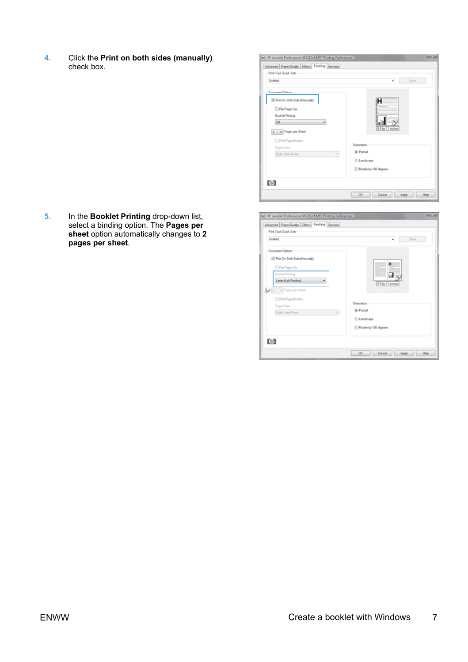**4.** Click the **Print on both sides (manually)** check box.

**5.** In the **Booklet Printing** drop-down list, select a binding option. The **Pages per sheet** option automatically changes to **2 pages per sheet**.

| Advanced Paper/Quality Effects Finishing Services |                       |
|---------------------------------------------------|-----------------------|
| Print Tack Quick Sets                             |                       |
| Untified                                          | Save<br>٠             |
| - Document Options                                |                       |
| 7 Print On Both Sides(Manually)                   | н                     |
| Flip Pages Up                                     |                       |
| Booklet Printing                                  |                       |
| on                                                |                       |
| 1 - Pages per Sheet                               | 8.5 by 11 inches      |
|                                                   |                       |
| <sup>11</sup> Pint Page Borders                   | Orientation           |
| Page Order                                        | @ Portrait            |
| Right, then Down                                  | $\sim$<br>C Landscape |
|                                                   |                       |
|                                                   | Rotate by 100 degrees |
|                                                   |                       |
| $\omega$                                          |                       |

| Print Tack Quick Sets           |                       |
|---------------------------------|-----------------------|
| Untified                        | Save<br>٠             |
| Document Options                |                       |
| 7 Print On Both Sides(Manually) |                       |
| Flip Pages Up                   | н                     |
| Booklet Printing                | al p                  |
| Letter (Left Binding)           | 8.5 by 11 inches      |
| $2 -$ Pages per Sheet           |                       |
| <sup>11</sup> Pint Page Borders |                       |
| Page Order:                     | Dientation            |
| Right, then Down                | @ Portrait<br>$\sim$  |
|                                 | C Landscape           |
|                                 | Rotate by 100 degrees |
|                                 |                       |
| $\omega$                        |                       |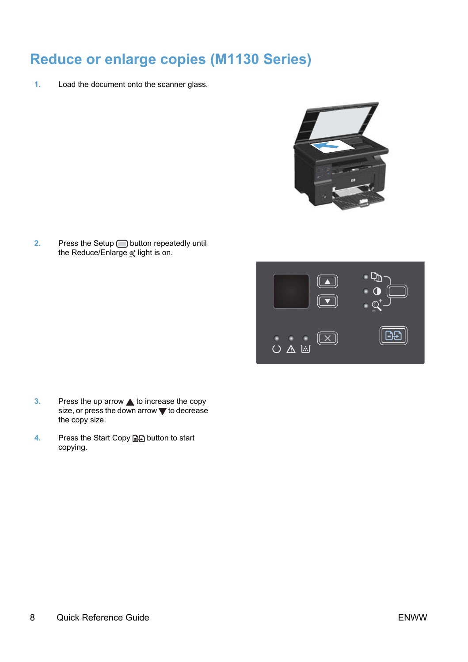### **Reduce or enlarge copies (M1130 Series)**

**1.** Load the document onto the scanner glass.



**2.** Press the Setup **button repeatedly until** the Reduce/Enlarge of light is on.



- **3.** Press the up arrow **A** to increase the copy size, or press the down arrow  $\blacktriangledown$  to decrease the copy size.
- **4.** Press the Start Copy **DA** button to start copying.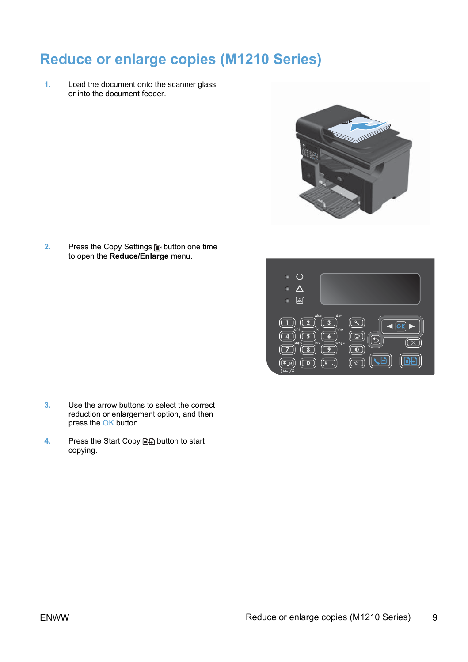### **Reduce or enlarge copies (M1210 Series)**

**1.** Load the document onto the scanner glass or into the document feeder.



**2.** Press the Copy Settings **B** button one time to open the **Reduce/Enlarge** menu.



- **3.** Use the arrow buttons to select the correct reduction or enlargement option, and then press the OK button.
- **4.** Press the Start Copy **a**, button to start copying.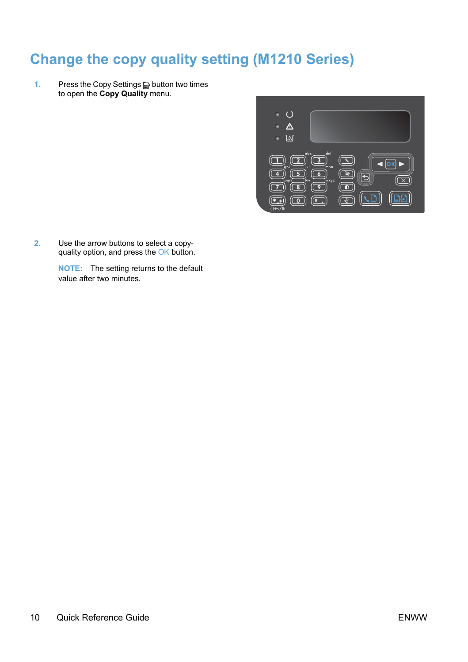### **Change the copy quality setting (M1210 Series)**

1. Press the Copy Settings **B** button two times to open the **Copy Quality** menu.



**2.** Use the arrow buttons to select a copy-quality option, and press the OK button.

**NOTE:** The setting returns to the default value after two minutes.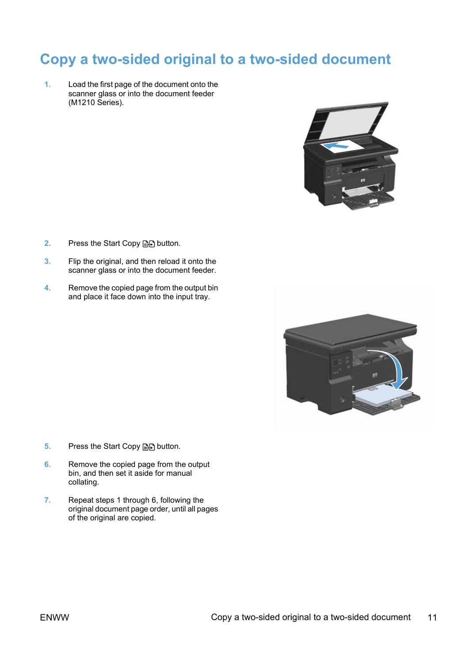### **Copy a two-sided original to a two-sided document**

**1.** Load the first page of the document onto the scanner glass or into the document feeder (M1210 Series).



- **2.** Press the Start Copy **as button**.
- **3.** Flip the original, and then reload it onto the scanner glass or into the document feeder.
- **4.** Remove the copied page from the output bin and place it face down into the input tray.



- **5.** Press the Start Copy **and** button.
- **6.** Remove the copied page from the output bin, and then set it aside for manual collating.
- **7.** Repeat steps 1 through 6, following the original document page order, until all pages of the original are copied.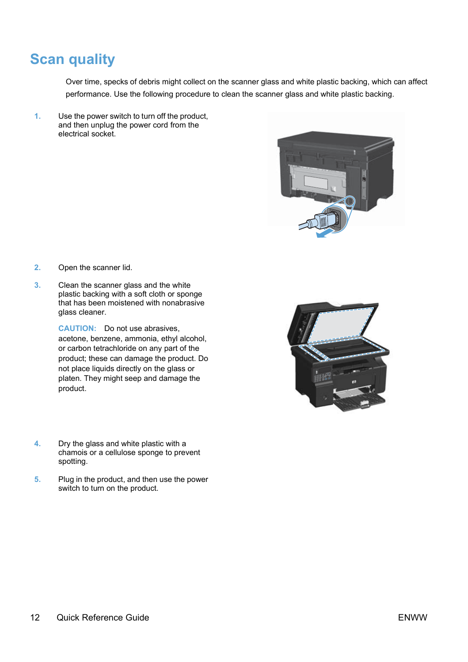### **Scan quality**

Over time, specks of debris might collect on the scanner glass and white plastic backing, which can affect performance. Use the following procedure to clean the scanner glass and white plastic backing.

**1.** Use the power switch to turn off the product, and then unplug the power cord from the electrical socket.



- **2.** Open the scanner lid.
- **3.** Clean the scanner glass and the white plastic backing with a soft cloth or sponge that has been moistened with nonabrasive glass cleaner.

**CAUTION:** Do not use abrasives, acetone, benzene, ammonia, ethyl alcohol, or carbon tetrachloride on any part of the product; these can damage the product. Do not place liquids directly on the glass or platen. They might seep and damage the product.



- **4.** Dry the glass and white plastic with a chamois or a cellulose sponge to prevent spotting.
- **5.** Plug in the product, and then use the power switch to turn on the product.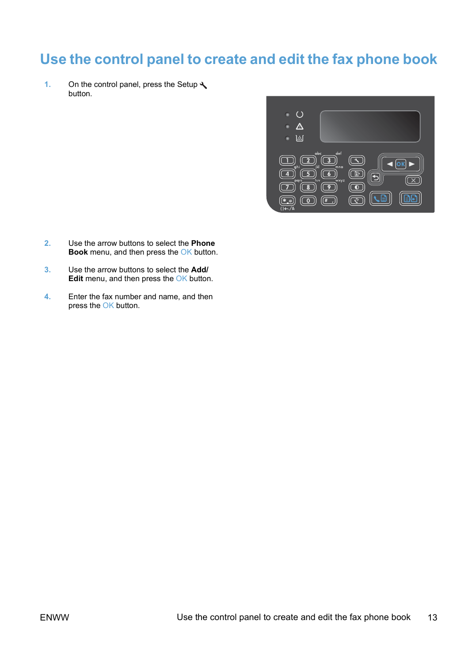### **Use the control panel to create and edit the fax phone book**

1. On the control panel, press the Setup  $\triangle$ button.



- **2.** Use the arrow buttons to select the **Phone Book** menu, and then press the OK button.
- **3.** Use the arrow buttons to select the **Add/ Edit** menu, and then press the OK button.
- **4.** Enter the fax number and name, and then press the OK button.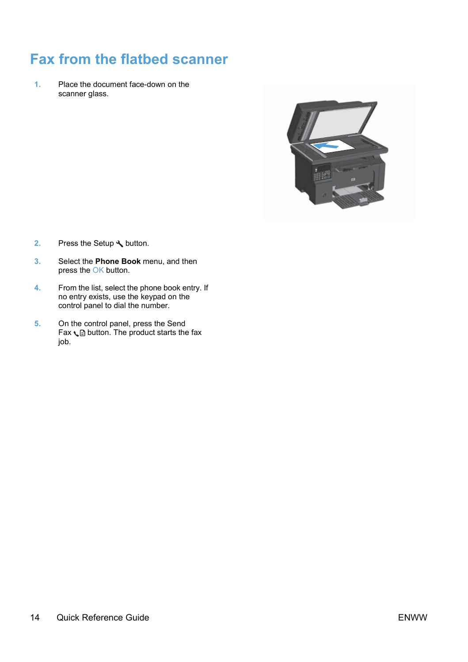### **Fax from the flatbed scanner**

**1.** Place the document face-down on the scanner glass.



- **2.** Press the Setup **\** button.
- **3.** Select the **Phone Book** menu, and then press the OK button.
- **4.** From the list, select the phone book entry. If no entry exists, use the keypad on the control panel to dial the number.
- **5.** On the control panel, press the Send  $\text{Fax} \setminus \text{bution}$ . The product starts the fax job.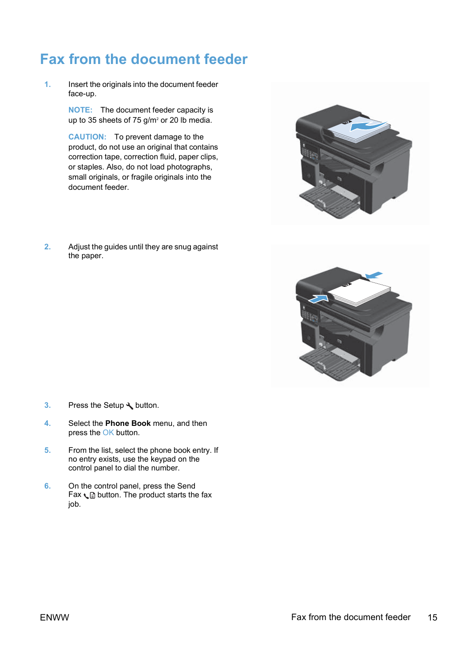### **Fax from the document feeder**

**1.** Insert the originals into the document feeder face-up.

> **NOTE:** The document feeder capacity is up to 35 sheets of 75 g/m<sup>2</sup> or 20 lb media.

**CAUTION:** To prevent damage to the product, do not use an original that contains correction tape, correction fluid, paper clips, or staples. Also, do not load photographs, small originals, or fragile originals into the document feeder.

**2.** Adjust the guides until they are snug against the paper.





- **3.** Press the Setup **\** button.
- **4.** Select the **Phone Book** menu, and then press the OK button.
- **5.** From the list, select the phone book entry. If no entry exists, use the keypad on the control panel to dial the number.
- **6.** On the control panel, press the Send Fax  $\subseteq$  button. The product starts the fax job.